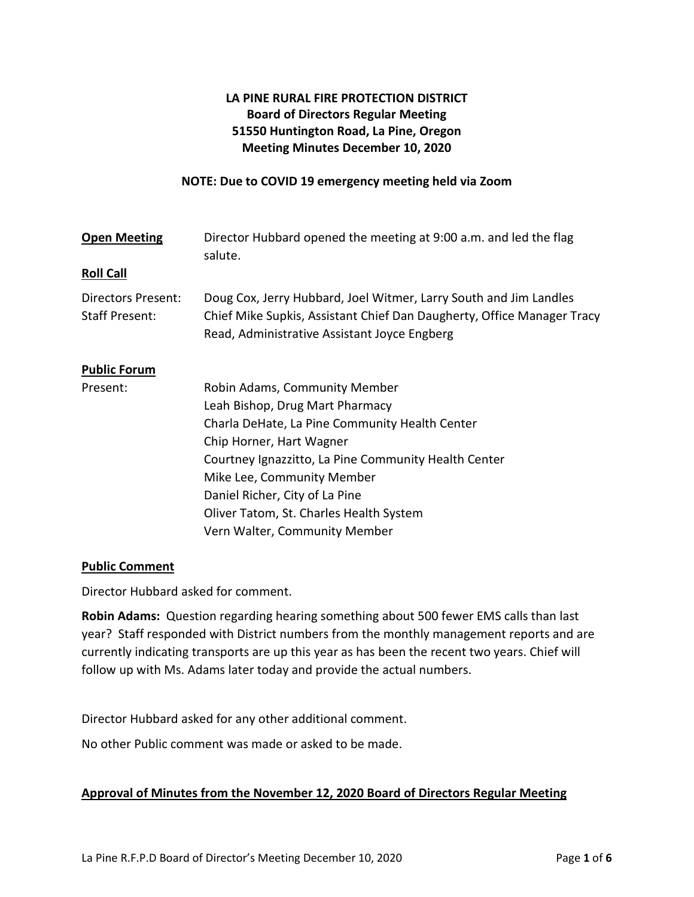# **LA PINE RURAL FIRE PROTECTION DISTRICT Board of Directors Regular Meeting 51550 Huntington Road, La Pine, Oregon Meeting Minutes December 10, 2020**

#### **NOTE: Due to COVID 19 emergency meeting held via Zoom**

| <b>Open Meeting</b>                         | Director Hubbard opened the meeting at 9:00 a.m. and led the flag<br>salute.                                                                                                                |
|---------------------------------------------|---------------------------------------------------------------------------------------------------------------------------------------------------------------------------------------------|
| <b>Roll Call</b>                            |                                                                                                                                                                                             |
| Directors Present:<br><b>Staff Present:</b> | Doug Cox, Jerry Hubbard, Joel Witmer, Larry South and Jim Landles<br>Chief Mike Supkis, Assistant Chief Dan Daugherty, Office Manager Tracy<br>Read, Administrative Assistant Joyce Engberg |
| <b>Public Forum</b>                         |                                                                                                                                                                                             |
| Present:                                    | Robin Adams, Community Member                                                                                                                                                               |
|                                             | Leah Bishop, Drug Mart Pharmacy                                                                                                                                                             |
|                                             | Charla DeHate, La Pine Community Health Center                                                                                                                                              |
|                                             | Chip Horner, Hart Wagner                                                                                                                                                                    |
|                                             | Courtney Ignazzitto, La Pine Community Health Center                                                                                                                                        |
|                                             | Mike Lee, Community Member                                                                                                                                                                  |
|                                             | Daniel Richer, City of La Pine                                                                                                                                                              |
|                                             | Oliver Tatom, St. Charles Health System                                                                                                                                                     |
|                                             | Vern Walter, Community Member                                                                                                                                                               |

### **Public Comment**

Director Hubbard asked for comment.

**Robin Adams:** Question regarding hearing something about 500 fewer EMS calls than last year? Staff responded with District numbers from the monthly management reports and are currently indicating transports are up this year as has been the recent two years. Chief will follow up with Ms. Adams later today and provide the actual numbers.

Director Hubbard asked for any other additional comment.

No other Public comment was made or asked to be made.

### **Approval of Minutes from the November 12, 2020 Board of Directors Regular Meeting**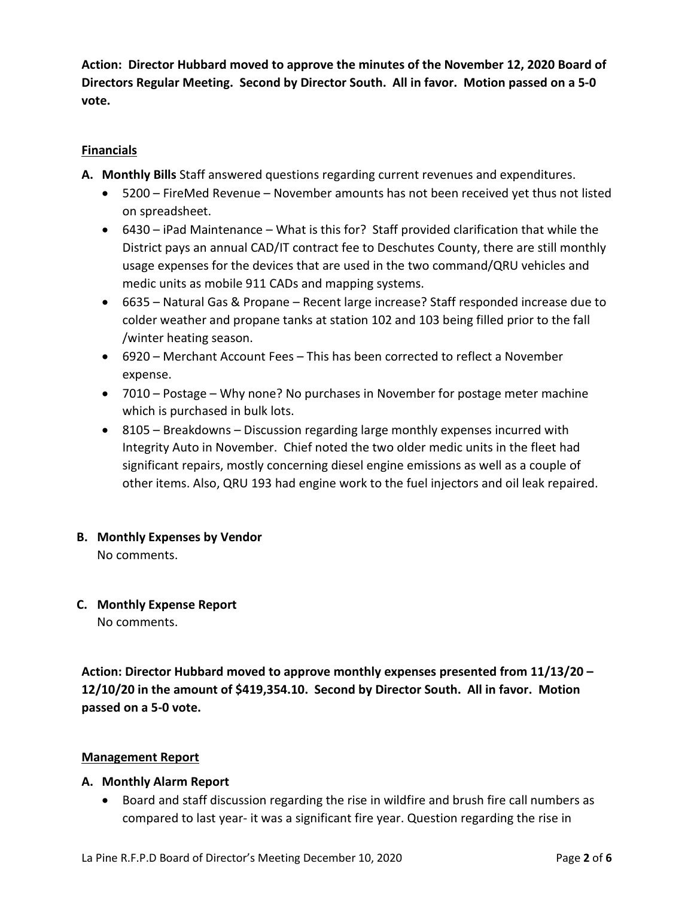**Action: Director Hubbard moved to approve the minutes of the November 12, 2020 Board of Directors Regular Meeting. Second by Director South. All in favor. Motion passed on a 5-0 vote.**

## **Financials**

- **A. Monthly Bills** Staff answered questions regarding current revenues and expenditures.
	- 5200 FireMed Revenue November amounts has not been received yet thus not listed on spreadsheet.
	- 6430 iPad Maintenance What is this for? Staff provided clarification that while the District pays an annual CAD/IT contract fee to Deschutes County, there are still monthly usage expenses for the devices that are used in the two command/QRU vehicles and medic units as mobile 911 CADs and mapping systems.
	- 6635 Natural Gas & Propane Recent large increase? Staff responded increase due to colder weather and propane tanks at station 102 and 103 being filled prior to the fall /winter heating season.
	- 6920 Merchant Account Fees This has been corrected to reflect a November expense.
	- 7010 Postage Why none? No purchases in November for postage meter machine which is purchased in bulk lots.
	- 8105 Breakdowns Discussion regarding large monthly expenses incurred with Integrity Auto in November. Chief noted the two older medic units in the fleet had significant repairs, mostly concerning diesel engine emissions as well as a couple of other items. Also, QRU 193 had engine work to the fuel injectors and oil leak repaired.
- **B. Monthly Expenses by Vendor**

No comments.

**C. Monthly Expense Report**

No comments.

**Action: Director Hubbard moved to approve monthly expenses presented from 11/13/20 – 12/10/20 in the amount of \$419,354.10. Second by Director South. All in favor. Motion passed on a 5-0 vote.**

# **Management Report**

### **A. Monthly Alarm Report**

• Board and staff discussion regarding the rise in wildfire and brush fire call numbers as compared to last year- it was a significant fire year. Question regarding the rise in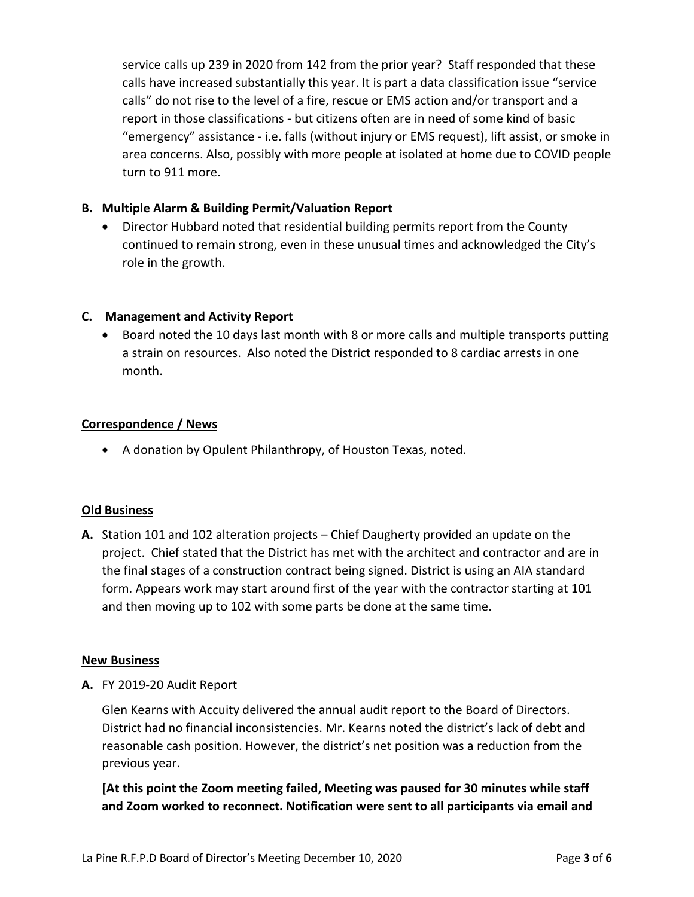service calls up 239 in 2020 from 142 from the prior year? Staff responded that these calls have increased substantially this year. It is part a data classification issue "service calls" do not rise to the level of a fire, rescue or EMS action and/or transport and a report in those classifications - but citizens often are in need of some kind of basic "emergency" assistance - i.e. falls (without injury or EMS request), lift assist, or smoke in area concerns. Also, possibly with more people at isolated at home due to COVID people turn to 911 more.

# **B. Multiple Alarm & Building Permit/Valuation Report**

• Director Hubbard noted that residential building permits report from the County continued to remain strong, even in these unusual times and acknowledged the City's role in the growth.

### **C. Management and Activity Report**

• Board noted the 10 days last month with 8 or more calls and multiple transports putting a strain on resources. Also noted the District responded to 8 cardiac arrests in one month.

### **Correspondence / News**

• A donation by Opulent Philanthropy, of Houston Texas, noted.

### **Old Business**

**A.** Station 101 and 102 alteration projects – Chief Daugherty provided an update on the project. Chief stated that the District has met with the architect and contractor and are in the final stages of a construction contract being signed. District is using an AIA standard form. Appears work may start around first of the year with the contractor starting at 101 and then moving up to 102 with some parts be done at the same time.

### **New Business**

**A.** FY 2019-20 Audit Report

Glen Kearns with Accuity delivered the annual audit report to the Board of Directors. District had no financial inconsistencies. Mr. Kearns noted the district's lack of debt and reasonable cash position. However, the district's net position was a reduction from the previous year.

# **[At this point the Zoom meeting failed, Meeting was paused for 30 minutes while staff and Zoom worked to reconnect. Notification were sent to all participants via email and**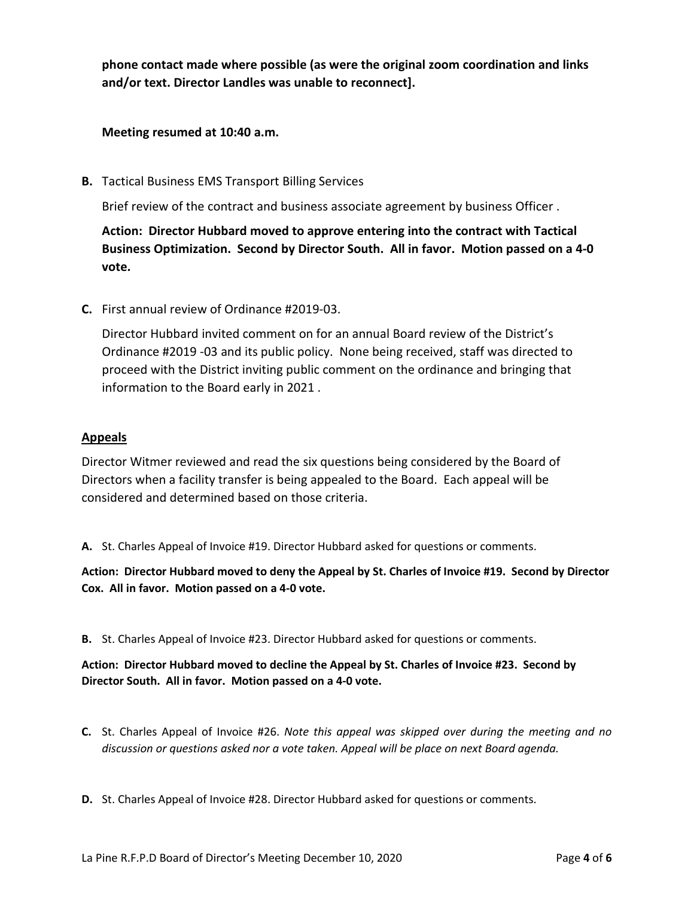**phone contact made where possible (as were the original zoom coordination and links and/or text. Director Landles was unable to reconnect].**

### **Meeting resumed at 10:40 a.m.**

**B.** Tactical Business EMS Transport Billing Services

Brief review of the contract and business associate agreement by business Officer .

**Action: Director Hubbard moved to approve entering into the contract with Tactical Business Optimization. Second by Director South. All in favor. Motion passed on a 4-0 vote.**

**C.** First annual review of Ordinance #2019-03.

Director Hubbard invited comment on for an annual Board review of the District's Ordinance #2019 -03 and its public policy. None being received, staff was directed to proceed with the District inviting public comment on the ordinance and bringing that information to the Board early in 2021 .

#### **Appeals**

Director Witmer reviewed and read the six questions being considered by the Board of Directors when a facility transfer is being appealed to the Board. Each appeal will be considered and determined based on those criteria.

**A.** St. Charles Appeal of Invoice #19. Director Hubbard asked for questions or comments.

**Action: Director Hubbard moved to deny the Appeal by St. Charles of Invoice #19. Second by Director Cox. All in favor. Motion passed on a 4-0 vote.**

**B.** St. Charles Appeal of Invoice #23. Director Hubbard asked for questions or comments.

**Action: Director Hubbard moved to decline the Appeal by St. Charles of Invoice #23. Second by Director South. All in favor. Motion passed on a 4-0 vote.**

**C.** St. Charles Appeal of Invoice #26. *Note this appeal was skipped over during the meeting and no discussion or questions asked nor a vote taken. Appeal will be place on next Board agenda.*

**D.** St. Charles Appeal of Invoice #28. Director Hubbard asked for questions or comments.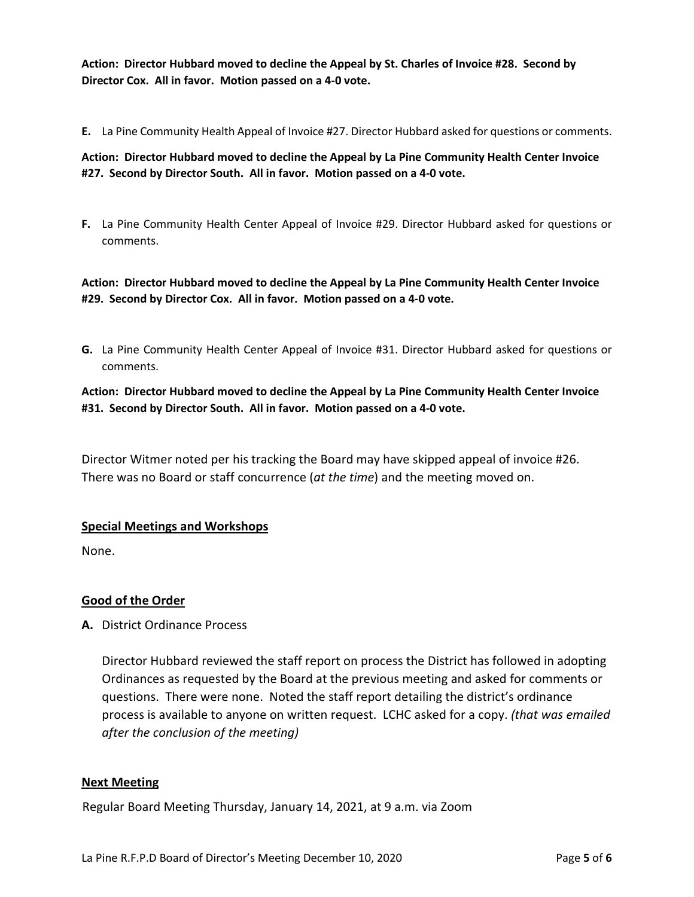**Action: Director Hubbard moved to decline the Appeal by St. Charles of Invoice #28. Second by Director Cox. All in favor. Motion passed on a 4-0 vote.**

**E.** La Pine Community Health Appeal of Invoice #27. Director Hubbard asked for questions or comments.

**Action: Director Hubbard moved to decline the Appeal by La Pine Community Health Center Invoice #27. Second by Director South. All in favor. Motion passed on a 4-0 vote.**

**F.** La Pine Community Health Center Appeal of Invoice #29. Director Hubbard asked for questions or comments.

**Action: Director Hubbard moved to decline the Appeal by La Pine Community Health Center Invoice #29. Second by Director Cox. All in favor. Motion passed on a 4-0 vote.**

**G.** La Pine Community Health Center Appeal of Invoice #31. Director Hubbard asked for questions or comments.

**Action: Director Hubbard moved to decline the Appeal by La Pine Community Health Center Invoice #31. Second by Director South. All in favor. Motion passed on a 4-0 vote.**

Director Witmer noted per his tracking the Board may have skipped appeal of invoice #26. There was no Board or staff concurrence (*at the time*) and the meeting moved on.

### **Special Meetings and Workshops**

None.

### **Good of the Order**

**A.** District Ordinance Process

Director Hubbard reviewed the staff report on process the District has followed in adopting Ordinances as requested by the Board at the previous meeting and asked for comments or questions. There were none. Noted the staff report detailing the district's ordinance process is available to anyone on written request. LCHC asked for a copy. *(that was emailed after the conclusion of the meeting)*

#### **Next Meeting**

Regular Board Meeting Thursday, January 14, 2021, at 9 a.m. via Zoom